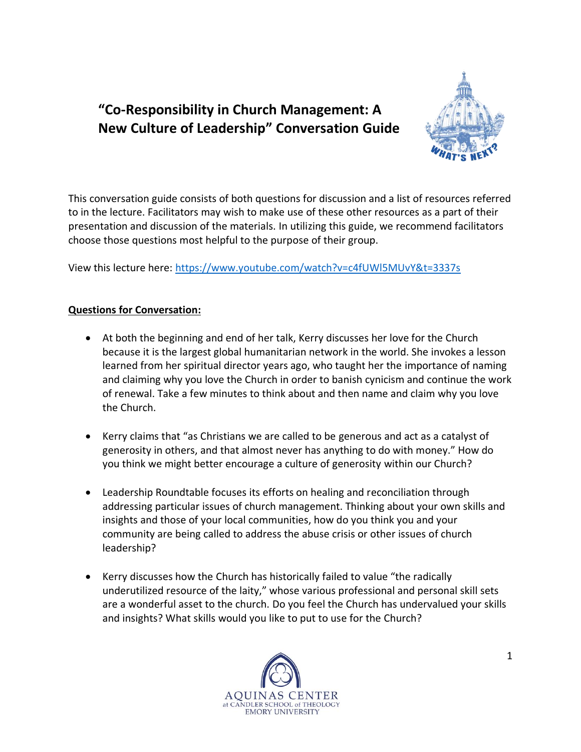## **"Co-Responsibility in Church Management: A New Culture of Leadership" Conversation Guide**



This conversation guide consists of both questions for discussion and a list of resources referred to in the lecture. Facilitators may wish to make use of these other resources as a part of their presentation and discussion of the materials. In utilizing this guide, we recommend facilitators choose those questions most helpful to the purpose of their group.

View this lecture here: <https://www.youtube.com/watch?v=c4fUWl5MUvY&t=3337s>

## **Questions for Conversation:**

- At both the beginning and end of her talk, Kerry discusses her love for the Church because it is the largest global humanitarian network in the world. She invokes a lesson learned from her spiritual director years ago, who taught her the importance of naming and claiming why you love the Church in order to banish cynicism and continue the work of renewal. Take a few minutes to think about and then name and claim why you love the Church.
- Kerry claims that "as Christians we are called to be generous and act as a catalyst of generosity in others, and that almost never has anything to do with money." How do you think we might better encourage a culture of generosity within our Church?
- Leadership Roundtable focuses its efforts on healing and reconciliation through addressing particular issues of church management. Thinking about your own skills and insights and those of your local communities, how do you think you and your community are being called to address the abuse crisis or other issues of church leadership?
- Kerry discusses how the Church has historically failed to value "the radically underutilized resource of the laity," whose various professional and personal skill sets are a wonderful asset to the church. Do you feel the Church has undervalued your skills and insights? What skills would you like to put to use for the Church?

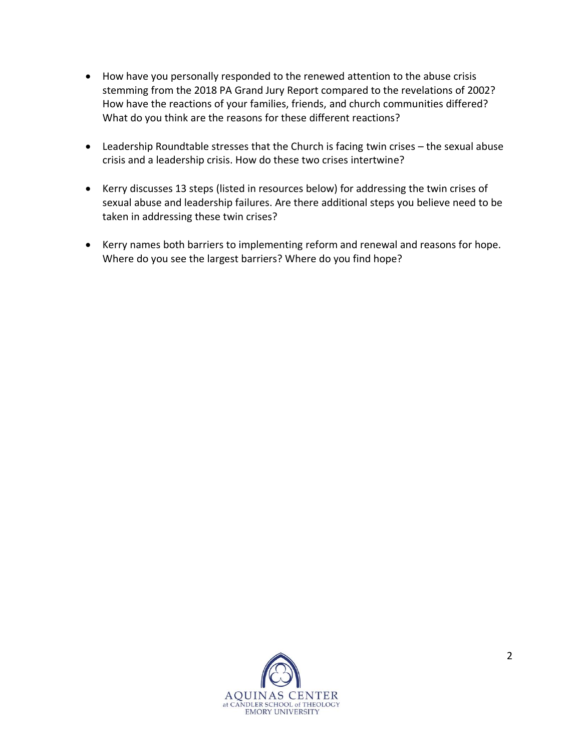- How have you personally responded to the renewed attention to the abuse crisis stemming from the 2018 PA Grand Jury Report compared to the revelations of 2002? How have the reactions of your families, friends, and church communities differed? What do you think are the reasons for these different reactions?
- Leadership Roundtable stresses that the Church is facing twin crises the sexual abuse crisis and a leadership crisis. How do these two crises intertwine?
- Kerry discusses 13 steps (listed in resources below) for addressing the twin crises of sexual abuse and leadership failures. Are there additional steps you believe need to be taken in addressing these twin crises?
- Kerry names both barriers to implementing reform and renewal and reasons for hope. Where do you see the largest barriers? Where do you find hope?

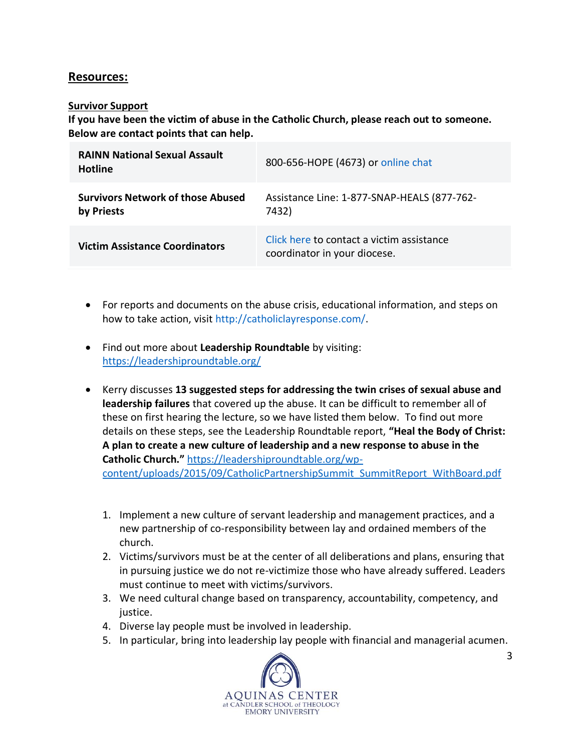## **Resources:**

## **Survivor Support**

**If you have been the victim of abuse in the Catholic Church, please reach out to someone. Below are contact points that can help.**

| <b>RAINN National Sexual Assault</b><br><b>Hotline</b> | 800-656-HOPE (4673) or online chat                                        |
|--------------------------------------------------------|---------------------------------------------------------------------------|
| <b>Survivors Network of those Abused</b><br>by Priests | Assistance Line: 1-877-SNAP-HEALS (877-762-<br>7432)                      |
| <b>Victim Assistance Coordinators</b>                  | Click here to contact a victim assistance<br>coordinator in your diocese. |

- For reports and documents on the abuse crisis, educational information, and steps on how to take action, visit [http://catholiclayresponse.com/.](http://catholiclayresponse.com/)
- Find out more about **Leadership Roundtable** by visiting: <https://leadershiproundtable.org/>
- Kerry discusses **13 suggested steps for addressing the twin crises of sexual abuse and leadership failures** that covered up the abuse. It can be difficult to remember all of these on first hearing the lecture, so we have listed them below. To find out more details on these steps, see the Leadership Roundtable report, **"Heal the Body of Christ: A plan to create a new culture of leadership and a new response to abuse in the Catholic Church."** [https://leadershiproundtable.org/wp](https://leadershiproundtable.org/wp-content/uploads/2015/09/CatholicPartnershipSummit_SummitReport_WithBoard.pdf)[content/uploads/2015/09/CatholicPartnershipSummit\\_SummitReport\\_WithBoard.pdf](https://leadershiproundtable.org/wp-content/uploads/2015/09/CatholicPartnershipSummit_SummitReport_WithBoard.pdf)
	- 1. Implement a new culture of servant leadership and management practices, and a new partnership of co-responsibility between lay and ordained members of the church.
	- 2. Victims/survivors must be at the center of all deliberations and plans, ensuring that in pursuing justice we do not re-victimize those who have already suffered. Leaders must continue to meet with victims/survivors.
	- 3. We need cultural change based on transparency, accountability, competency, and justice.
	- 4. Diverse lay people must be involved in leadership.
	- 5. In particular, bring into leadership lay people with financial and managerial acumen.